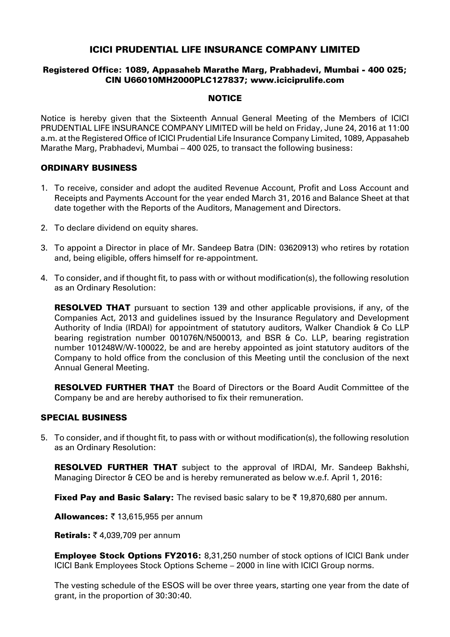# ICICI PRUDENTIAL LIFE INSURANCE COMPANY LIMITED

#### Registered Office: 1089, Appasaheb Marathe Marg, Prabhadevi, Mumbai - 400 025; CIN U66010MH2000PLC127837; www.iciciprulife.com

#### **NOTICE**

Notice is hereby given that the Sixteenth Annual General Meeting of the Members of ICICI PRUDENTIAL LIFE INSURANCE COMPANY LIMITED will be held on Friday, June 24, 2016 at 11:00 a.m. at the Registered Office of ICICI Prudential Life Insurance Company Limited, 1089, Appasaheb Marathe Marg, Prabhadevi, Mumbai – 400 025, to transact the following business:

## ORDINARY BUSINESS

- 1. To receive, consider and adopt the audited Revenue Account, Profit and Loss Account and Receipts and Payments Account for the year ended March 31, 2016 and Balance Sheet at that date together with the Reports of the Auditors, Management and Directors.
- 2. To declare dividend on equity shares.
- 3. To appoint a Director in place of Mr. Sandeep Batra (DIN: 03620913) who retires by rotation and, being eligible, offers himself for re-appointment.
- 4. To consider, and if thought fit, to pass with or without modification(s), the following resolution as an Ordinary Resolution:

**RESOLVED THAT** pursuant to section 139 and other applicable provisions, if any, of the Companies Act, 2013 and guidelines issued by the Insurance Regulatory and Development Authority of India (IRDAI) for appointment of statutory auditors, Walker Chandiok & Co LLP bearing registration number 001076N/N500013, and BSR & Co. LLP, bearing registration number 101248W/W-100022, be and are hereby appointed as joint statutory auditors of the Company to hold office from the conclusion of this Meeting until the conclusion of the next Annual General Meeting.

**RESOLVED FURTHER THAT** the Board of Directors or the Board Audit Committee of the Company be and are hereby authorised to fix their remuneration.

#### SPECIAL BUSINESS

5. To consider, and if thought fit, to pass with or without modification(s), the following resolution as an Ordinary Resolution:

RESOLVED FURTHER THAT subject to the approval of IRDAI, Mr. Sandeep Bakhshi, Managing Director & CEO be and is hereby remunerated as below w.e.f. April 1, 2016:

Fixed Pay and Basic Salary: The revised basic salary to be  $\bar{\tau}$  19,870,680 per annum.

Allowances:  $\bar{z}$  13,615,955 per annum

Retirals:  $\bar{z}$  4,039,709 per annum

Employee Stock Options FY2016: 8,31,250 number of stock options of ICICI Bank under ICICI Bank Employees Stock Options Scheme – 2000 in line with ICICI Group norms.

The vesting schedule of the ESOS will be over three years, starting one year from the date of grant, in the proportion of 30:30:40.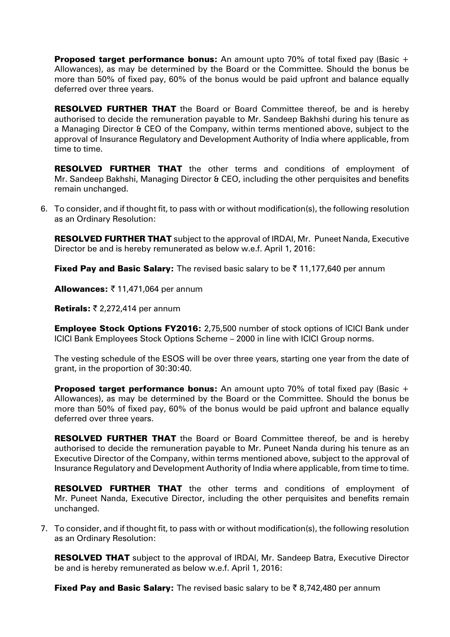**Proposed target performance bonus:** An amount upto 70% of total fixed pay (Basic  $+$ Allowances), as may be determined by the Board or the Committee. Should the bonus be more than 50% of fixed pay, 60% of the bonus would be paid upfront and balance equally deferred over three years.

**RESOLVED FURTHER THAT** the Board or Board Committee thereof, be and is hereby authorised to decide the remuneration payable to Mr. Sandeep Bakhshi during his tenure as a Managing Director & CEO of the Company, within terms mentioned above, subject to the approval of Insurance Regulatory and Development Authority of India where applicable, from time to time.

RESOLVED FURTHER THAT the other terms and conditions of employment of Mr. Sandeep Bakhshi, Managing Director & CEO, including the other perquisites and benefits remain unchanged.

6. To consider, and if thought fit, to pass with or without modification(s), the following resolution as an Ordinary Resolution:

**RESOLVED FURTHER THAT** subject to the approval of IRDAI, Mr. Puneet Nanda, Executive Director be and is hereby remunerated as below w.e.f. April 1, 2016:

Fixed Pay and Basic Salary: The revised basic salary to be  $\bar{\tau}$  11,177,640 per annum

**Allowances:**  $\bar{\tau}$  **11,471,064 per annum** 

Retirals:  $\bar{\tau}$  2,272,414 per annum

**Employee Stock Options FY2016:** 2.75.500 number of stock options of ICICI Bank under ICICI Bank Employees Stock Options Scheme – 2000 in line with ICICI Group norms.

The vesting schedule of the ESOS will be over three years, starting one year from the date of grant, in the proportion of 30:30:40.

**Proposed target performance bonus:** An amount upto 70% of total fixed pay (Basic  $+$ Allowances), as may be determined by the Board or the Committee. Should the bonus be more than 50% of fixed pay, 60% of the bonus would be paid upfront and balance equally deferred over three years.

**RESOLVED FURTHER THAT** the Board or Board Committee thereof, be and is hereby authorised to decide the remuneration payable to Mr. Puneet Nanda during his tenure as an Executive Director of the Company, within terms mentioned above, subject to the approval of Insurance Regulatory and Development Authority of India where applicable, from time to time.

RESOLVED FURTHER THAT the other terms and conditions of employment of Mr. Puneet Nanda, Executive Director, including the other perquisites and benefits remain unchanged.

7. To consider, and if thought fit, to pass with or without modification(s), the following resolution as an Ordinary Resolution:

**RESOLVED THAT** subject to the approval of IRDAI, Mr. Sandeep Batra, Executive Director be and is hereby remunerated as below w.e.f. April 1, 2016:

**Fixed Pay and Basic Salary:** The revised basic salary to be  $\bar{\tau}$  8,742,480 per annum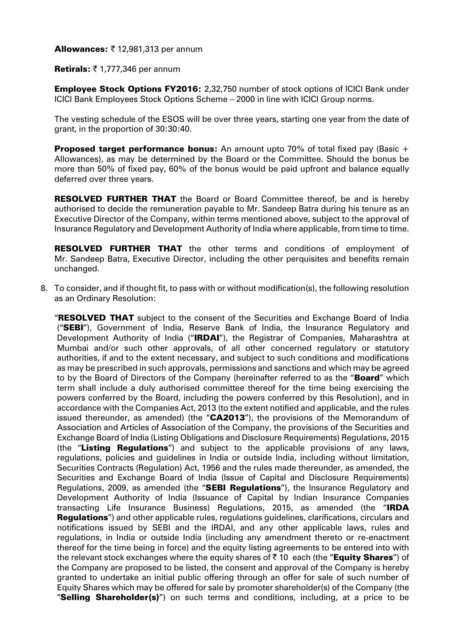**Allowances: ₹ 12,981,313 per annum** 

Retirals:  $\bar{z}$  1,777,346 per annum

Employee Stock Options FY2016: 2,32,750 number of stock options of ICICI Bank under ICICI Bank Employees Stock Options Scheme – 2000 in line with ICICI Group norms.

The vesting schedule of the ESOS will be over three years, starting one year from the date of grant, in the proportion of 30:30:40.

**Proposed target performance bonus:** An amount upto 70% of total fixed pay (Basic  $+$ Allowances), as may be determined by the Board or the Committee. Should the bonus be more than 50% of fixed pay, 60% of the bonus would be paid upfront and balance equally deferred over three years.

**RESOLVED FURTHER THAT** the Board or Board Committee thereof, be and is hereby authorised to decide the remuneration payable to Mr. Sandeep Batra during his tenure as an Executive Director of the Company, within terms mentioned above, subject to the approval of Insurance Regulatory and Development Authority of India where applicable, from time to time.

RESOLVED FURTHER THAT the other terms and conditions of employment of Mr. Sandeep Batra, Executive Director, including the other perquisites and benefits remain unchanged.

8. To consider, and if thought fit, to pass with or without modification(s), the following resolution as an Ordinary Resolution:

**"RESOLVED THAT** subject to the consent of the Securities and Exchange Board of India ("SEBI"), Government of India, Reserve Bank of India, the Insurance Regulatory and Development Authority of India ("IRDAI"), the Registrar of Companies, Maharashtra at Mumbai and/or such other approvals, of all other concerned regulatory or statutory authorities, if and to the extent necessary, and subject to such conditions and modifications as may be prescribed in such approvals, permissions and sanctions and which may be agreed to by the Board of Directors of the Company (hereinafter referred to as the "Board" which term shall include a duly authorised committee thereof for the time being exercising the powers conferred by the Board, including the powers conferred by this Resolution), and in accordance with the Companies Act, 2013 (to the extent notified and applicable, and the rules issued thereunder, as amended) (the "CA2013"), the provisions of the Memorandum of Association and Articles of Association of the Company, the provisions of the Securities and Exchange Board of India (Listing Obligations and Disclosure Requirements) Regulations, 2015 (the "Listing Regulations") and subject to the applicable provisions of any laws, regulations, policies and guidelines in India or outside India, including without limitation, Securities Contracts (Regulation) Act, 1956 and the rules made thereunder, as amended, the Securities and Exchange Board of India (Issue of Capital and Disclosure Requirements) Regulations, 2009, as amended (the "SEBI Regulations"), the Insurance Regulatory and Development Authority of India (Issuance of Capital by Indian Insurance Companies transacting Life Insurance Business) Regulations, 2015, as amended (the "IRDA **Regulations**") and other applicable rules, regulations guidelines, clarifications, circulars and notifications issued by SEBI and the IRDAI, and any other applicable laws, rules and regulations, in India or outside India (including any amendment thereto or re-enactment thereof for the time being in force) and the equity listing agreements to be entered into with the relevant stock exchanges where the equity shares of  $\bar{\tau}$  10 each (the "**Equity Shares**") of the Company are proposed to be listed, the consent and approval of the Company is hereby granted to undertake an initial public offering through an offer for sale of such number of Equity Shares which may be offered for sale by promoter shareholder(s) of the Company (the "Selling Shareholder(s)") on such terms and conditions, including, at a price to be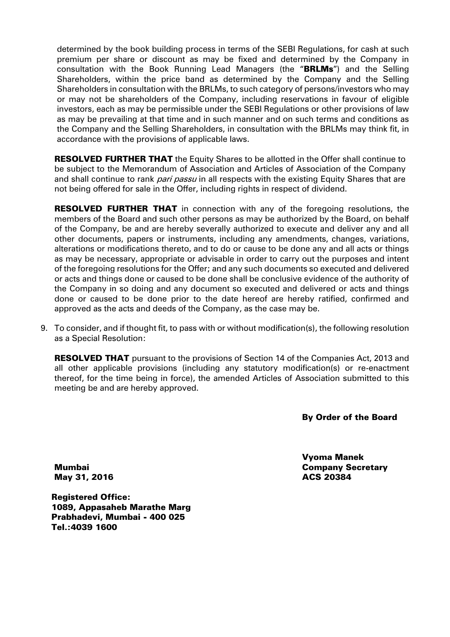determined by the book building process in terms of the SEBI Regulations, for cash at such premium per share or discount as may be fixed and determined by the Company in consultation with the Book Running Lead Managers (the "BRLMs") and the Selling Shareholders, within the price band as determined by the Company and the Selling Shareholders in consultation with the BRLMs, to such category of persons/investors who may or may not be shareholders of the Company, including reservations in favour of eligible investors, each as may be permissible under the SEBI Regulations or other provisions of law as may be prevailing at that time and in such manner and on such terms and conditions as the Company and the Selling Shareholders, in consultation with the BRLMs may think fit, in accordance with the provisions of applicable laws.

**RESOLVED FURTHER THAT** the Equity Shares to be allotted in the Offer shall continue to be subject to the Memorandum of Association and Articles of Association of the Company and shall continue to rank *pari passu* in all respects with the existing Equity Shares that are not being offered for sale in the Offer, including rights in respect of dividend.

**RESOLVED FURTHER THAT** in connection with any of the foregoing resolutions, the members of the Board and such other persons as may be authorized by the Board, on behalf of the Company, be and are hereby severally authorized to execute and deliver any and all other documents, papers or instruments, including any amendments, changes, variations, alterations or modifications thereto, and to do or cause to be done any and all acts or things as may be necessary, appropriate or advisable in order to carry out the purposes and intent of the foregoing resolutions for the Offer; and any such documents so executed and delivered or acts and things done or caused to be done shall be conclusive evidence of the authority of the Company in so doing and any document so executed and delivered or acts and things done or caused to be done prior to the date hereof are hereby ratified, confirmed and approved as the acts and deeds of the Company, as the case may be.

9. To consider, and if thought fit, to pass with or without modification(s), the following resolution as a Special Resolution:

**RESOLVED THAT** pursuant to the provisions of Section 14 of the Companies Act, 2013 and all other applicable provisions (including any statutory modification(s) or re-enactment thereof, for the time being in force), the amended Articles of Association submitted to this meeting be and are hereby approved.

By Order of the Board

Mumbai May 31, 2016 Vyoma Manek Company Secretary ACS 20384

Registered Office: 1089, Appasaheb Marathe Marg Prabhadevi, Mumbai - 400 025 Tel.:4039 1600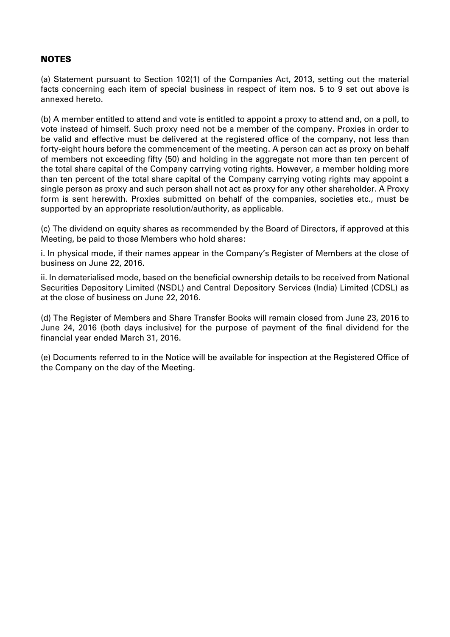## NOTES

(a) Statement pursuant to Section 102(1) of the Companies Act, 2013, setting out the material facts concerning each item of special business in respect of item nos. 5 to 9 set out above is annexed hereto.

(b) A member entitled to attend and vote is entitled to appoint a proxy to attend and, on a poll, to vote instead of himself. Such proxy need not be a member of the company. Proxies in order to be valid and effective must be delivered at the registered office of the company, not less than forty-eight hours before the commencement of the meeting. A person can act as proxy on behalf of members not exceeding fifty (50) and holding in the aggregate not more than ten percent of the total share capital of the Company carrying voting rights. However, a member holding more than ten percent of the total share capital of the Company carrying voting rights may appoint a single person as proxy and such person shall not act as proxy for any other shareholder. A Proxy form is sent herewith. Proxies submitted on behalf of the companies, societies etc., must be supported by an appropriate resolution/authority, as applicable.

(c) The dividend on equity shares as recommended by the Board of Directors, if approved at this Meeting, be paid to those Members who hold shares:

i. In physical mode, if their names appear in the Company's Register of Members at the close of business on June 22, 2016.

ii. In dematerialised mode, based on the beneficial ownership details to be received from National Securities Depository Limited (NSDL) and Central Depository Services (India) Limited (CDSL) as at the close of business on June 22, 2016.

(d) The Register of Members and Share Transfer Books will remain closed from June 23, 2016 to June 24, 2016 (both days inclusive) for the purpose of payment of the final dividend for the financial year ended March 31, 2016.

(e) Documents referred to in the Notice will be available for inspection at the Registered Office of the Company on the day of the Meeting.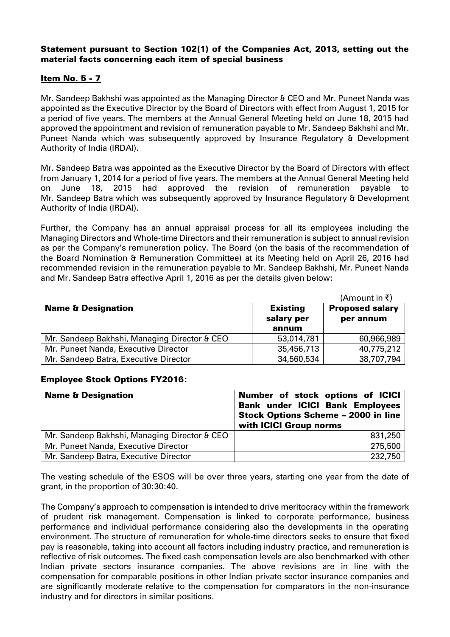## Statement pursuant to Section 102(1) of the Companies Act, 2013, setting out the material facts concerning each item of special business

# Item No. 5 - 7

Mr. Sandeep Bakhshi was appointed as the Managing Director & CEO and Mr. Puneet Nanda was appointed as the Executive Director by the Board of Directors with effect from August 1, 2015 for a period of five years. The members at the Annual General Meeting held on June 18, 2015 had approved the appointment and revision of remuneration payable to Mr. Sandeep Bakhshi and Mr. Puneet Nanda which was subsequently approved by Insurance Regulatory & Development Authority of India (IRDAI).

Mr. Sandeep Batra was appointed as the Executive Director by the Board of Directors with effect from January 1, 2014 for a period of five years. The members at the Annual General Meeting held on June 18, 2015 had approved the revision of remuneration payable to Mr. Sandeep Batra which was subsequently approved by Insurance Regulatory & Development Authority of India (IRDAI).

Further, the Company has an annual appraisal process for all its employees including the Managing Directors and Whole-time Directors and their remuneration is subject to annual revision as per the Company's remuneration policy. The Board (on the basis of the recommendation of the Board Nomination & Remuneration Committee) at its Meeting held on April 26, 2016 had recommended revision in the remuneration payable to Mr. Sandeep Bakhshi, Mr. Puneet Nanda and Mr. Sandeep Batra effective April 1, 2016 as per the details given below:

|                                              |                               | (Amount in ₹)                       |
|----------------------------------------------|-------------------------------|-------------------------------------|
| <b>Name &amp; Designation</b>                | <b>Existing</b><br>salary per | <b>Proposed salary</b><br>per annum |
|                                              | annum                         |                                     |
| Mr. Sandeep Bakhshi, Managing Director & CEO | 53,014,781                    | 60,966,989                          |
| Mr. Puneet Nanda, Executive Director         | 35,456,713                    | 40,775,212                          |
| Mr. Sandeep Batra, Executive Director        | 34,560,534                    | 38,707,794                          |

#### Employee Stock Options FY2016:

| <b>Name &amp; Designation</b>                | Number of stock options of ICICI<br><b>Bank under ICICI Bank Employees</b><br><b>Stock Options Scheme - 2000 in line</b><br>with ICICI Group norms |
|----------------------------------------------|----------------------------------------------------------------------------------------------------------------------------------------------------|
| Mr. Sandeep Bakhshi, Managing Director & CEO | 831,250                                                                                                                                            |
| Mr. Puneet Nanda, Executive Director         | 275,500                                                                                                                                            |
| Mr. Sandeep Batra, Executive Director        | 232,750                                                                                                                                            |

The vesting schedule of the ESOS will be over three years, starting one year from the date of grant, in the proportion of 30:30:40.

The Company's approach to compensation is intended to drive meritocracy within the framework of prudent risk management. Compensation is linked to corporate performance, business performance and individual performance considering also the developments in the operating environment. The structure of remuneration for whole-time directors seeks to ensure that fixed pay is reasonable, taking into account all factors including industry practice, and remuneration is reflective of risk outcomes. The fixed cash compensation levels are also benchmarked with other Indian private sectors insurance companies. The above revisions are in line with the compensation for comparable positions in other Indian private sector insurance companies and are significantly moderate relative to the compensation for comparators in the non-insurance industry and for directors in similar positions.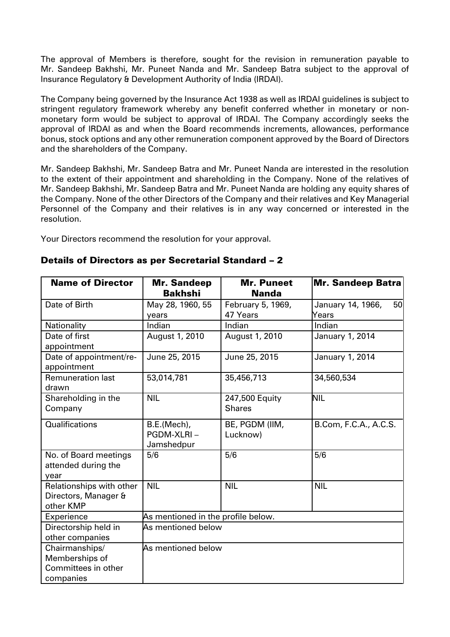The approval of Members is therefore, sought for the revision in remuneration payable to Mr. Sandeep Bakhshi, Mr. Puneet Nanda and Mr. Sandeep Batra subject to the approval of Insurance Regulatory & Development Authority of India (IRDAI).

The Company being governed by the Insurance Act 1938 as well as IRDAI guidelines is subject to stringent regulatory framework whereby any benefit conferred whether in monetary or nonmonetary form would be subject to approval of IRDAI. The Company accordingly seeks the approval of IRDAI as and when the Board recommends increments, allowances, performance bonus, stock options and any other remuneration component approved by the Board of Directors and the shareholders of the Company.

Mr. Sandeep Bakhshi, Mr. Sandeep Batra and Mr. Puneet Nanda are interested in the resolution to the extent of their appointment and shareholding in the Company. None of the relatives of Mr. Sandeep Bakhshi, Mr. Sandeep Batra and Mr. Puneet Nanda are holding any equity shares of the Company. None of the other Directors of the Company and their relatives and Key Managerial Personnel of the Company and their relatives is in any way concerned or interested in the resolution.

Your Directors recommend the resolution for your approval.

| <b>Name of Director</b>                                              | <b>Mr. Sandeep</b><br><b>Bakhshi</b>    | <b>Mr. Puneet</b><br><b>Nanda</b> | <b>Mr. Sandeep Batra</b> |
|----------------------------------------------------------------------|-----------------------------------------|-----------------------------------|--------------------------|
| Date of Birth                                                        | May 28, 1960, 55                        | February 5, 1969,                 | January 14, 1966,<br>50  |
|                                                                      | years                                   | 47 Years                          | Years                    |
| Nationality                                                          | Indian                                  | Indian                            | Indian                   |
| Date of first<br>appointment                                         | August 1, 2010                          | August 1, 2010                    | January 1, 2014          |
| Date of appointment/re-<br>appointment                               | June 25, 2015                           | June 25, 2015                     | January 1, 2014          |
| <b>Remuneration last</b><br>drawn                                    | 53,014,781                              | 35,456,713                        | 34,560,534               |
| Shareholding in the<br>Company                                       | <b>NIL</b>                              | 247,500 Equity<br><b>Shares</b>   | <b>NIL</b>               |
| Qualifications                                                       | B.E.(Mech),<br>PGDM-XLRI-<br>Jamshedpur | BE, PGDM (IIM,<br>Lucknow)        | B.Com, F.C.A., A.C.S.    |
| No. of Board meetings<br>attended during the<br>year                 | 5/6                                     | 5/6                               | 5/6                      |
| Relationships with other<br>Directors, Manager &<br>other KMP        | <b>NIL</b>                              | <b>NIL</b>                        | <b>NIL</b>               |
| Experience                                                           | As mentioned in the profile below.      |                                   |                          |
| Directorship held in<br>other companies                              | As mentioned below                      |                                   |                          |
| Chairmanships/<br>Memberships of<br>Committees in other<br>companies | As mentioned below                      |                                   |                          |

## Details of Directors as per Secretarial Standard – 2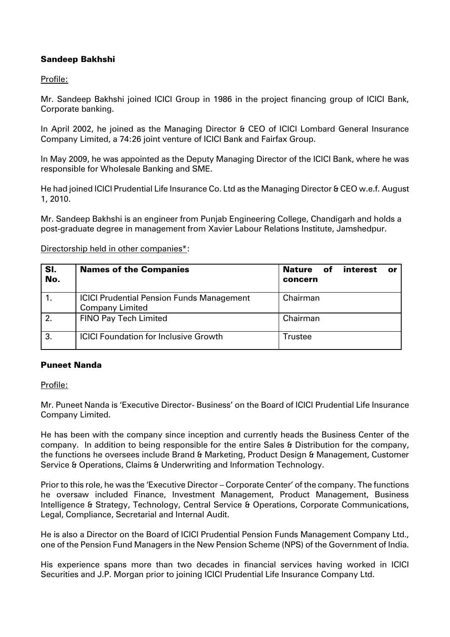## Sandeep Bakhshi

Profile:

Mr. Sandeep Bakhshi joined ICICI Group in 1986 in the project financing group of ICICI Bank, Corporate banking.

In April 2002, he joined as the Managing Director & CEO of ICICI Lombard General Insurance Company Limited, a 74:26 joint venture of ICICI Bank and Fairfax Group.

In May 2009, he was appointed as the Deputy Managing Director of the ICICI Bank, where he was responsible for Wholesale Banking and SME.

He had joined ICICI Prudential Life Insurance Co. Ltd as the Managing Director & CEO w.e.f. August 1, 2010.

Mr. Sandeep Bakhshi is an engineer from Punjab Engineering College, Chandigarh and holds a post-graduate degree in management from Xavier Labour Relations Institute, Jamshedpur.

Sl. No. Names of the Companies Nature of interest or concern 1. **ICICI Prudential Pension Funds Management** Company Limited Chairman 2. FINO Pay Tech Limited 2. Chairman 3. ICICI Foundation for Inclusive Growth Trustee

Directorship held in other companies\*:

#### Puneet Nanda

Profile:

Mr. Puneet Nanda is 'Executive Director- Business' on the Board of ICICI Prudential Life Insurance Company Limited.

He has been with the company since inception and currently heads the Business Center of the company. In addition to being responsible for the entire Sales & Distribution for the company, the functions he oversees include Brand & Marketing, Product Design & Management, Customer Service & Operations, Claims & Underwriting and Information Technology.

Prior to this role, he was the 'Executive Director – Corporate Center' of the company. The functions he oversaw included Finance, Investment Management, Product Management, Business Intelligence & Strategy, Technology, Central Service & Operations, Corporate Communications, Legal, Compliance, Secretarial and Internal Audit.

He is also a Director on the Board of ICICI Prudential Pension Funds Management Company Ltd., one of the Pension Fund Managers in the New Pension Scheme (NPS) of the Government of India.

His experience spans more than two decades in financial services having worked in ICICI Securities and J.P. Morgan prior to joining ICICI Prudential Life Insurance Company Ltd.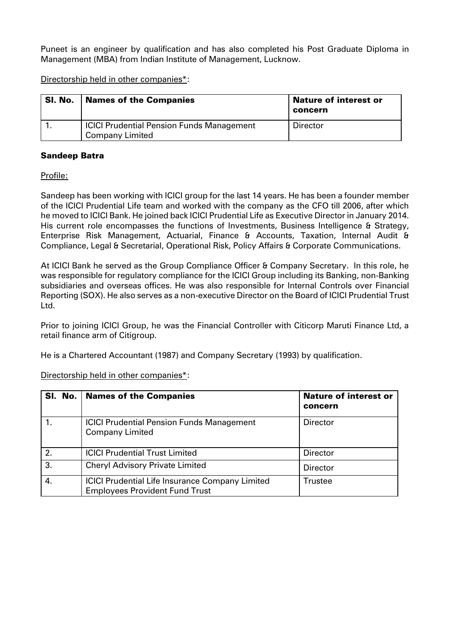Puneet is an engineer by qualification and has also completed his Post Graduate Diploma in Management (MBA) from Indian Institute of Management, Lucknow.

Directorship held in other companies\*:

| SI. No. | <b>Names of the Companies</b>                                              | <b>Nature of interest or</b><br>concern |
|---------|----------------------------------------------------------------------------|-----------------------------------------|
|         | <b>ICICI Prudential Pension Funds Management</b><br><b>Company Limited</b> | <b>Director</b>                         |

#### Sandeep Batra

Profile:

Sandeep has been working with ICICI group for the last 14 years. He has been a founder member of the ICICI Prudential Life team and worked with the company as the CFO till 2006, after which he moved to ICICI Bank. He joined back ICICI Prudential Life as Executive Director in January 2014. His current role encompasses the functions of Investments, Business Intelligence & Strategy, Enterprise Risk Management, Actuarial, Finance & Accounts, Taxation, Internal Audit & Compliance, Legal & Secretarial, Operational Risk, Policy Affairs & Corporate Communications.

At ICICI Bank he served as the Group Compliance Officer & Company Secretary. In this role, he was responsible for regulatory compliance for the ICICI Group including its Banking, non-Banking subsidiaries and overseas offices. He was also responsible for Internal Controls over Financial Reporting (SOX). He also serves as a non-executive Director on the Board of ICICI Prudential Trust Ltd.

Prior to joining ICICI Group, he was the Financial Controller with Citicorp Maruti Finance Ltd, a retail finance arm of Citigroup.

He is a Chartered Accountant (1987) and Company Secretary (1993) by qualification.

Directorship held in other companies\*:

|                  | SI. No.   Names of the Companies                                                                | <b>Nature of interest or</b><br>concern |
|------------------|-------------------------------------------------------------------------------------------------|-----------------------------------------|
|                  | <b>ICICI Prudential Pension Funds Management</b><br><b>Company Limited</b>                      | <b>Director</b>                         |
| 2.               | <b>ICICI Prudential Trust Limited</b>                                                           | Director                                |
| $\overline{3}$ . | <b>Cheryl Advisory Private Limited</b>                                                          | <b>Director</b>                         |
| $\overline{4}$   | <b>ICICI Prudential Life Insurance Company Limited</b><br><b>Employees Provident Fund Trust</b> | Trustee                                 |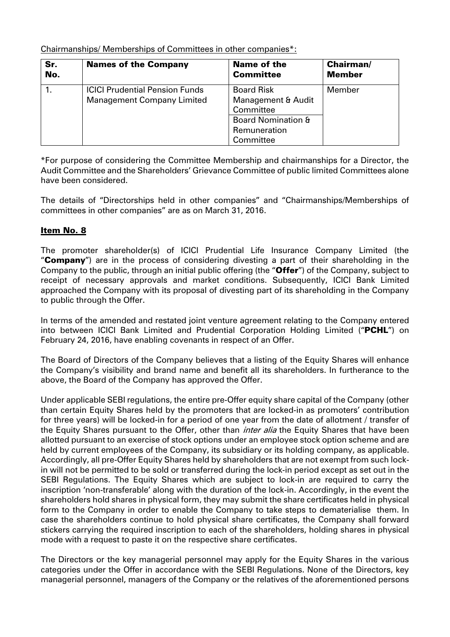Chairmanships/ Memberships of Committees in other companies\*:

| Sr. | <b>Names of the Company</b>                                                | <b>Name of the</b>                                                                                                 | <b>Chairman/</b> |
|-----|----------------------------------------------------------------------------|--------------------------------------------------------------------------------------------------------------------|------------------|
| No. |                                                                            | <b>Committee</b>                                                                                                   | <b>Member</b>    |
|     | <b>ICICI Prudential Pension Funds</b><br><b>Management Company Limited</b> | <b>Board Risk</b><br>Management & Audit<br>Committee<br><b>Board Nomination &amp;</b><br>Remuneration<br>Committee | Member           |

\*For purpose of considering the Committee Membership and chairmanships for a Director, the Audit Committee and the Shareholders' Grievance Committee of public limited Committees alone have been considered.

The details of "Directorships held in other companies" and "Chairmanships/Memberships of committees in other companies" are as on March 31, 2016.

## Item No. 8

The promoter shareholder(s) of ICICI Prudential Life Insurance Company Limited (the "Company") are in the process of considering divesting a part of their shareholding in the Company to the public, through an initial public offering (the "Offer") of the Company, subject to receipt of necessary approvals and market conditions. Subsequently, ICICI Bank Limited approached the Company with its proposal of divesting part of its shareholding in the Company to public through the Offer.

In terms of the amended and restated joint venture agreement relating to the Company entered into between ICICI Bank Limited and Prudential Corporation Holding Limited ("PCHL") on February 24, 2016, have enabling covenants in respect of an Offer.

The Board of Directors of the Company believes that a listing of the Equity Shares will enhance the Company's visibility and brand name and benefit all its shareholders. In furtherance to the above, the Board of the Company has approved the Offer.

Under applicable SEBI regulations, the entire pre-Offer equity share capital of the Company (other than certain Equity Shares held by the promoters that are locked-in as promoters' contribution for three years) will be locked-in for a period of one year from the date of allotment / transfer of the Equity Shares pursuant to the Offer, other than *inter alia* the Equity Shares that have been allotted pursuant to an exercise of stock options under an employee stock option scheme and are held by current employees of the Company, its subsidiary or its holding company, as applicable. Accordingly, all pre-Offer Equity Shares held by shareholders that are not exempt from such lockin will not be permitted to be sold or transferred during the lock-in period except as set out in the SEBI Regulations. The Equity Shares which are subject to lock-in are required to carry the inscription 'non-transferable' along with the duration of the lock-in. Accordingly, in the event the shareholders hold shares in physical form, they may submit the share certificates held in physical form to the Company in order to enable the Company to take steps to dematerialise them. In case the shareholders continue to hold physical share certificates, the Company shall forward stickers carrying the required inscription to each of the shareholders, holding shares in physical mode with a request to paste it on the respective share certificates.

The Directors or the key managerial personnel may apply for the Equity Shares in the various categories under the Offer in accordance with the SEBI Regulations. None of the Directors, key managerial personnel, managers of the Company or the relatives of the aforementioned persons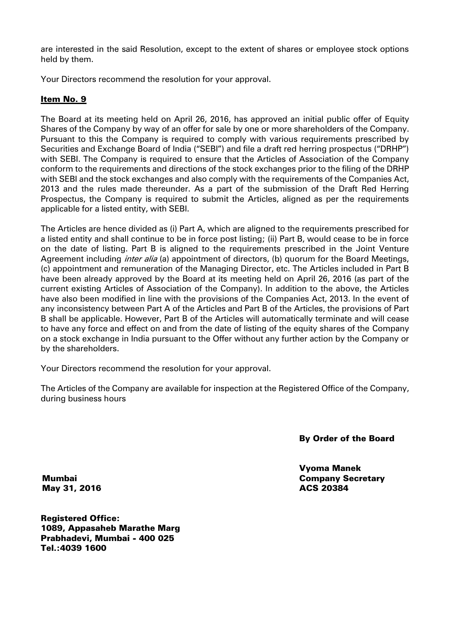are interested in the said Resolution, except to the extent of shares or employee stock options held by them.

Your Directors recommend the resolution for your approval.

## Item No. 9

The Board at its meeting held on April 26, 2016, has approved an initial public offer of Equity Shares of the Company by way of an offer for sale by one or more shareholders of the Company. Pursuant to this the Company is required to comply with various requirements prescribed by Securities and Exchange Board of India ("SEBI") and file a draft red herring prospectus ("DRHP") with SEBI. The Company is required to ensure that the Articles of Association of the Company conform to the requirements and directions of the stock exchanges prior to the filing of the DRHP with SEBI and the stock exchanges and also comply with the requirements of the Companies Act, 2013 and the rules made thereunder. As a part of the submission of the Draft Red Herring Prospectus, the Company is required to submit the Articles, aligned as per the requirements applicable for a listed entity, with SEBI.

The Articles are hence divided as (i) Part A, which are aligned to the requirements prescribed for a listed entity and shall continue to be in force post listing; (ii) Part B, would cease to be in force on the date of listing. Part B is aligned to the requirements prescribed in the Joint Venture Agreement including *inter alia* (a) appointment of directors, (b) quorum for the Board Meetings, (c) appointment and remuneration of the Managing Director, etc. The Articles included in Part B have been already approved by the Board at its meeting held on April 26, 2016 (as part of the current existing Articles of Association of the Company). In addition to the above, the Articles have also been modified in line with the provisions of the Companies Act, 2013. In the event of any inconsistency between Part A of the Articles and Part B of the Articles, the provisions of Part B shall be applicable. However, Part B of the Articles will automatically terminate and will cease to have any force and effect on and from the date of listing of the equity shares of the Company on a stock exchange in India pursuant to the Offer without any further action by the Company or by the shareholders.

Your Directors recommend the resolution for your approval.

The Articles of the Company are available for inspection at the Registered Office of the Company, during business hours

By Order of the Board

Vyoma Manek Company Secretary ACS 20384

Mumbai May 31, 2016

Registered Office: 1089, Appasaheb Marathe Marg Prabhadevi, Mumbai - 400 025 Tel.:4039 1600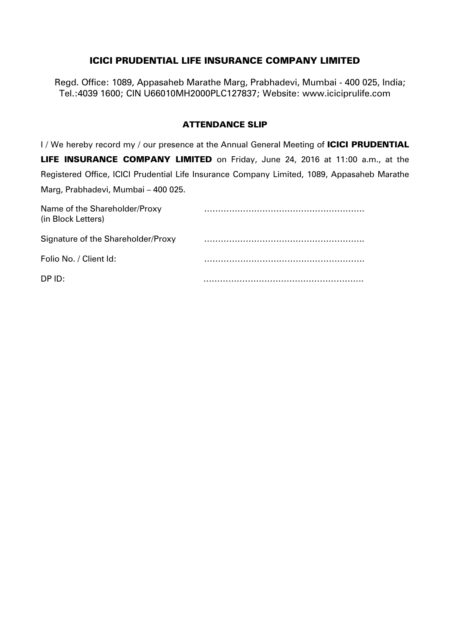# ICICI PRUDENTIAL LIFE INSURANCE COMPANY LIMITED

Regd. Office: 1089, Appasaheb Marathe Marg, Prabhadevi, Mumbai - 400 025, India; Tel.:4039 1600; CIN U66010MH2000PLC127837; Website: www.iciciprulife.com

## ATTENDANCE SLIP

I / We hereby record my / our presence at the Annual General Meeting of ICICI PRUDENTIAL LIFE INSURANCE COMPANY LIMITED on Friday, June 24, 2016 at 11:00 a.m., at the Registered Office, ICICI Prudential Life Insurance Company Limited, 1089, Appasaheb Marathe Marg, Prabhadevi, Mumbai – 400 025.

| Name of the Shareholder/Proxy<br>(in Block Letters) |  |
|-----------------------------------------------------|--|
| Signature of the Shareholder/Proxy                  |  |
| Folio No. / Client Id:                              |  |
| DP ID:                                              |  |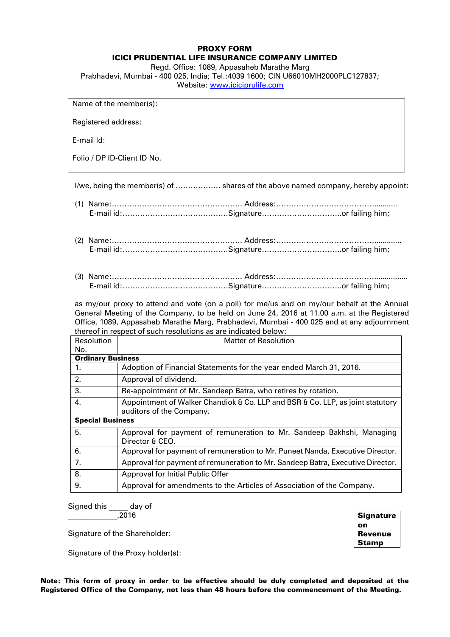#### PROXY FORM ICICI PRUDENTIAL LIFE INSURANCE COMPANY LIMITED

Regd. Office: 1089, Appasaheb Marathe Marg Prabhadevi, Mumbai - 400 025, India; Tel.:4039 1600; CIN U66010MH2000PLC127837;

Website: [www.iciciprulife.com](http://10.16.18.155/attachment/03/store/2016/04/13/23/41/22443/www.iciciprulife.com)

Name of the member(s):

Registered address:

E-mail Id:

Folio / DP ID-Client ID No.

I/we, being the member(s) of ……………… shares of the above named company, hereby appoint:

- (1) Name:……………………………………………. Address:…………………………………........... E-mail id:……………………………………Signature…………………………..or failing him;
- (2) Name:……………………………………………. Address:…………………………………............. E-mail id:……………………………………Signature…………………………..or failing him;
- (3) Name:……………………………………………. Address:…………………………………................ E-mail id:……………………………………Signature…………………………..or failing him;

as my/our proxy to attend and vote (on a poll) for me/us and on my/our behalf at the Annual General Meeting of the Company, to be held on June 24, 2016 at 11.00 a.m. at the Registered Office, 1089, Appasaheb Marathe Marg, Prabhadevi, Mumbai - 400 025 and at any adjournment thereof in respect of such resolutions as are indicated below:

| Resolution               | Matter of Resolution                                                                                       |  |
|--------------------------|------------------------------------------------------------------------------------------------------------|--|
| No.                      |                                                                                                            |  |
| <b>Ordinary Business</b> |                                                                                                            |  |
| 1.                       | Adoption of Financial Statements for the year ended March 31, 2016.                                        |  |
| 2.                       | Approval of dividend.                                                                                      |  |
| 3.                       | Re-appointment of Mr. Sandeep Batra, who retires by rotation.                                              |  |
| 4.                       | Appointment of Walker Chandiok & Co. LLP and BSR & Co. LLP, as joint statutory<br>auditors of the Company. |  |
| <b>Special Business</b>  |                                                                                                            |  |
| 5.                       | Approval for payment of remuneration to Mr. Sandeep Bakhshi, Managing<br>Director & CEO.                   |  |
| 6.                       | Approval for payment of remuneration to Mr. Puneet Nanda, Executive Director.                              |  |
| 7.                       | Approval for payment of remuneration to Mr. Sandeep Batra, Executive Director.                             |  |
| 8.                       | Approval for Initial Public Offer                                                                          |  |
| 9.                       | Approval for amendments to the Articles of Association of the Company.                                     |  |

Signed this day of \_\_\_\_\_\_\_\_\_\_\_\_\_,2016

Signature of the Shareholder:

Signature of the Proxy holder(s):

**Signature** on Revenue Stamp

Note: This form of proxy in order to be effective should be duly completed and deposited at the Registered Office of the Company, not less than 48 hours before the commencement of the Meeting.